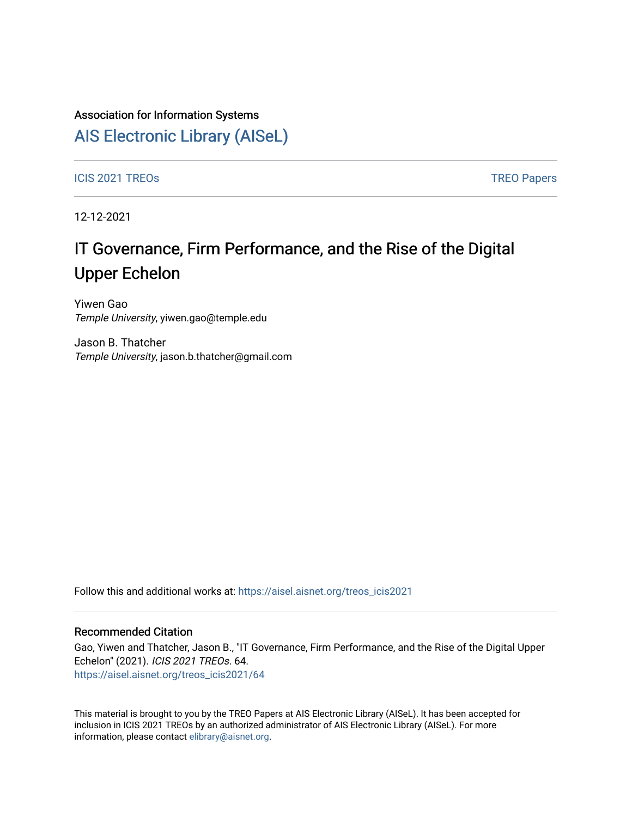### Association for Information Systems

# [AIS Electronic Library \(AISeL\)](https://aisel.aisnet.org/)

ICIS 2021 TREOS Notes that the contract of the contract of the contract of the contract of the contract of the contract of the contract of the contract of the contract of the contract of the contract of the contract of the

12-12-2021

# IT Governance, Firm Performance, and the Rise of the Digital Upper Echelon

Yiwen Gao Temple University, yiwen.gao@temple.edu

Jason B. Thatcher Temple University, jason.b.thatcher@gmail.com

Follow this and additional works at: [https://aisel.aisnet.org/treos\\_icis2021](https://aisel.aisnet.org/treos_icis2021?utm_source=aisel.aisnet.org%2Ftreos_icis2021%2F64&utm_medium=PDF&utm_campaign=PDFCoverPages) 

#### Recommended Citation

Gao, Yiwen and Thatcher, Jason B., "IT Governance, Firm Performance, and the Rise of the Digital Upper Echelon" (2021). ICIS 2021 TREOs. 64. [https://aisel.aisnet.org/treos\\_icis2021/64](https://aisel.aisnet.org/treos_icis2021/64?utm_source=aisel.aisnet.org%2Ftreos_icis2021%2F64&utm_medium=PDF&utm_campaign=PDFCoverPages) 

This material is brought to you by the TREO Papers at AIS Electronic Library (AISeL). It has been accepted for inclusion in ICIS 2021 TREOs by an authorized administrator of AIS Electronic Library (AISeL). For more information, please contact [elibrary@aisnet.org.](mailto:elibrary@aisnet.org%3E)